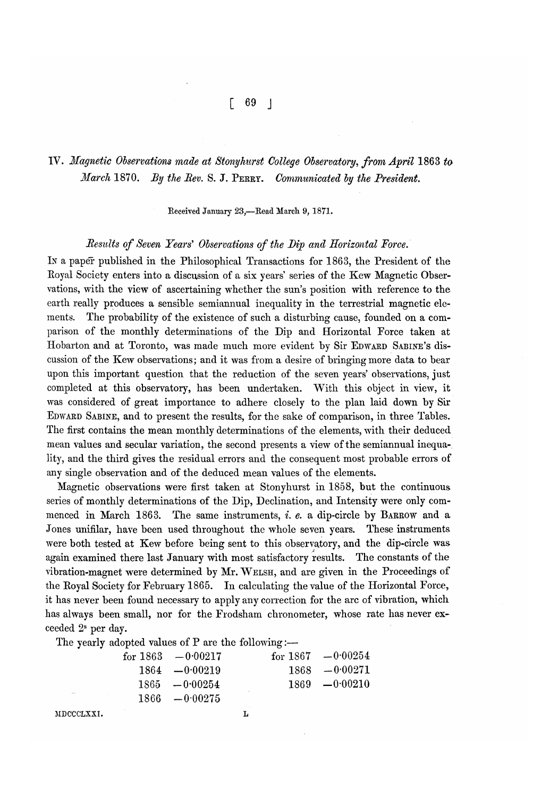# $\begin{bmatrix} 69 \end{bmatrix}$

# IV. *Magnetic Observations made at Stonyhurst College Observatory, from April* 1863 *to March* 1870. *By the Rev.* S. J. PERRY. *Communicated by the President.*

Received January 23,-Read March 9, 1871.

### *Results of Seven Years' Observations of the Dip and Horizontal Force.*

In a paper published in the Philosophical Transactions for 1863, the President of the Royal Society enters into a discussion of a six years' series of the Kew Magnetic Observations, with the view of ascertaining whether the sun's position with reference to the earth really produces a sensible semiannual inequality in the terrestrial magnetic elements. The probability of the existence of such a disturbing cause, founded on a comparison of the monthly determinations of the Dip and Horizontal Force taken at Hobarton and at Toronto, was made much more evident by Sir EDWARD SABINE'S discussion of the Kew observations; and it was from a desire of bringing more data to bear upon this important question that the reduction of the seven years' observations, just completed at this observatory, has been undertaken. With this object in view, it was considered of great importance to adhere closely to the plan laid down by Sir EDWARD SABINE, and to present the results, for the sake of comparison, in three Tables. The first contains the mean monthly determinations of the elements, with their deduced mean values and secular variation, the second presents a view of the semiannual inequa-. lity, and the third gives the residual errors and the consequent most probable errors of any single observation and of the deduced mean values of the elements.

Magnetic observations were first taken at Stonyhurst in 1858, but the continuous series of monthly determinations of the Dip, Declination, and Intensity were only commenced in March 1863. The same instruments, i. e. a dip-circle by BARROW and a Jones unifilar, have been used throughout the whole seven years. These instruments were both tested at Kew before being sent to this observatory, and the dip-circle was again examined there last January with most satisfactory results. The constants of the vibration-magnet were determined by Mr. WELSH, and are given in the Proceedings of the Royal Society for February 1865. In calculating the value of the Horizontal Force, it has never been found necessary to apply any correction for the arc of vibration, which has always been small, nor for the Frodsham chronometer, whose rate has never exceeded 28 per day.

The yearly adopted values of  $P$  are the following:-

|            | for $1863 - 0.00217$ |  | for $1867 - 0.00254$ |
|------------|----------------------|--|----------------------|
|            | $1864 - 0.00219$     |  | $1868 - 0.00271$     |
|            | $1865 - 0.00254$     |  | $1869 - 0.00210$     |
|            | $1866 - 0.00275$     |  |                      |
| <b>TYT</b> |                      |  |                      |

MDCCCLXXI.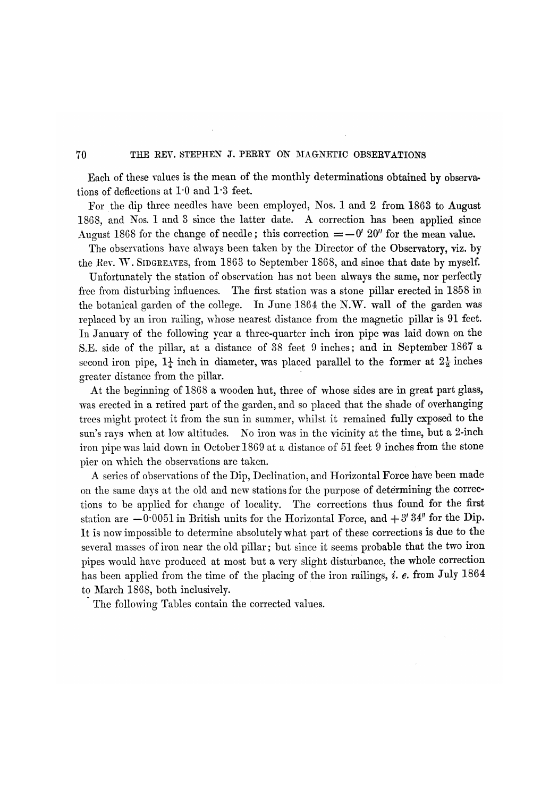#### 70 THE REV. STEPHEN J. PERRY ON MAGNETIC OBSERVATIONS

Each of these values is the mean of the monthly determinations obtained by observations of deflections at 1'0 and 1'3 feet.

For. the dip three needles have been employed, Nos. 1 and 2 from 1863 to August 1868, and Nos. 1 and 3 since the latter date. A correction has been applied since August 1868 for the change of needle; this correction  $=-0'$  20" for the mean value.

The obserrations have always been taken by the Director of the Observatory, viz. by the Rev. W. SIDGREAVES, from  $1863$  to September 1868, and sinoe that date by myself.

Unfortunately the station of observation has not been always the same, nor perfectly free from disturbing influences. The first station was a stone pillar erected in 1858 in the botanical garden of the college. In June 1864 the N.W. wall of the garden was replaced by an iron railing, whose nearest distance from the magnetic pillar is 91 feet. In January of the following year a three-quarter inch iron pipe was laid down on the S.E. side of the pillar, at a distance of 38 feet 9 inches; and in September 1867 a second iron pipe,  $1\frac{1}{4}$  inch in diameter, was placed parallel to the former at  $2\frac{1}{2}$  inches greater distance from the pillar.

At the beginning of 1868 a wooden hut, three of whose sides are in great part glass, was erected in a retired part of the garden, and so placed that the shade of overhanging trees might protect it from the sun in summer, whilst it remained fully exposed to the sun's rays when at low altitudes. No iron was in the vicinity at the time, but a 2-inch iron pipe was laid down in October 1869 at a distance of 51 feet 9 inches from the stone pier on which the observations are taken.

A series of observations of the Dip, Declination, and Horizontal Force have been made on the same days at the old and new stations for the purpose of determining the corrections to be applied for change of locality. The corrections thus found for the first station are  $-0.0051$  in British units for the Horizontal Force, and  $+3'34''$  for the Dip. It is now impossible to determine absolutely what part of these corrections is due to the several masses of iron near the old pillar; but since it seems probable that the two iron pipes would have produced at most but a very slight disturbance, the whole correction has been applied from the time of the placing of the iron railings, *i. e.* from July 1864 to March 1868, both inclusively.

The following Tables contain the corrected values.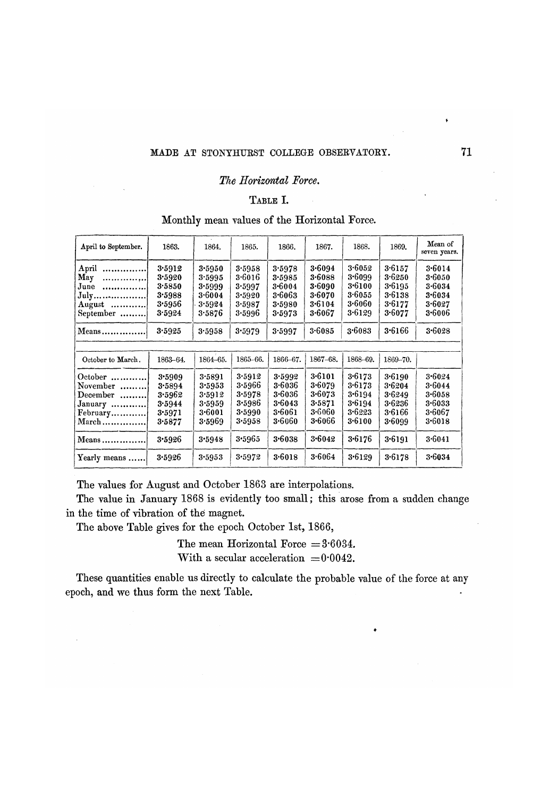#### MADE AT STONYHURST COLLEGE OBSERVATORY. **71**

#### *The Horizontal Foree.*

# TABLE **I.**

## Monthly mean values of the Horizontal Force.

| April to September.                                               | 1863.                                                    | 1864.                                                    | 1865.                                                    | 1866.                                                    | 1867.                                                        | 1868.                                                    | 1869.                                                    | Mean of<br>seven years.                                  |
|-------------------------------------------------------------------|----------------------------------------------------------|----------------------------------------------------------|----------------------------------------------------------|----------------------------------------------------------|--------------------------------------------------------------|----------------------------------------------------------|----------------------------------------------------------|----------------------------------------------------------|
| April<br><br>May<br><br>June<br><br>July<br>August<br>September   | 3.5912<br>3.5920<br>3.5850<br>3.5988<br>3.5956<br>3.5924 | 3.5950<br>3.5995<br>3.5999<br>3.6004<br>3.5924<br>3·5876 | 3.5958<br>3.6016<br>3.5997<br>3.5920<br>3.5987<br>3.5996 | 3.5978<br>3.5985<br>3.6004<br>3.6063<br>3.5980<br>3.5973 | 3.6094<br>$3 - 6088$<br>3.6090<br>3.6070<br>3.6104<br>3.6067 | 3.6052<br>3.6099<br>3.6100<br>3.6055<br>3.6060<br>3.6129 | 3.6157<br>3.6250<br>3.6195<br>3.6138<br>3.6177<br>3.6077 | 3.6014<br>3.6050<br>3.6034<br>3.6034<br>3.6027<br>3.6006 |
| $Means$                                                           | 3.5925                                                   | 3.5958                                                   | 3.5979                                                   | 3.5997                                                   | 3.6085                                                       | 3.6083                                                   | 3.6166                                                   | 3.6028                                                   |
| October to March.                                                 | 1863-64.                                                 | 1864-65.                                                 | 1865-66.                                                 | 1866-67.                                                 | 1867-68.                                                     | 1868-69.                                                 | 1869-70.                                                 |                                                          |
| $October$<br>November<br>December<br>January<br>February<br>March | 3.5909<br>3.5894<br>3.5962<br>3.5944<br>3.5971<br>3.5877 | 3.5891<br>3.5953<br>3.5912<br>3.5959<br>3.6001<br>3.5969 | 3.5912<br>3.5966<br>3.5978<br>3.5986<br>3.5990<br>3.5958 | 3.5992<br>3.6036<br>3.6036<br>3.6043<br>3.6061<br>3.6060 | 3.6101<br>3.6079<br>3.6073<br>3.5871<br>3.6060<br>$3 - 6066$ | 3.6173<br>3.6173<br>3.6194<br>3.6194<br>3.6223<br>3.6100 | 3.6190<br>3.6204<br>3.6249<br>3.6236<br>3.6166<br>3.6099 | 3.6024<br>3.6044<br>3.6058<br>3.6033<br>3.6067<br>3.6018 |
| Means                                                             | 3.5926                                                   | 3.5948                                                   | 3.5965                                                   | 3.6038                                                   | 3.6042                                                       | 3.6176                                                   | 3.6191                                                   | 3.6041                                                   |
| Yearly means                                                      | 3.5926                                                   | 3.5953                                                   | 3.5972                                                   | 3.6018                                                   | 3.6064                                                       | 3.6129                                                   | 3.6178                                                   | 3.6034                                                   |

The values for August and October 1863 are interpolations.

The value in January 1868 is evidently too small; this arose from a sudden change in the time of vibration of the magnet.

The above Table gives for the epoch October 1st, 1866,

The mean Horizontal Force  $= 3.6034$ .

With a secular acceleration  $=0.0042$ .

These quantities enable us directly to calculate the probable value of the force at any epoch, and we thus form the next Table.

•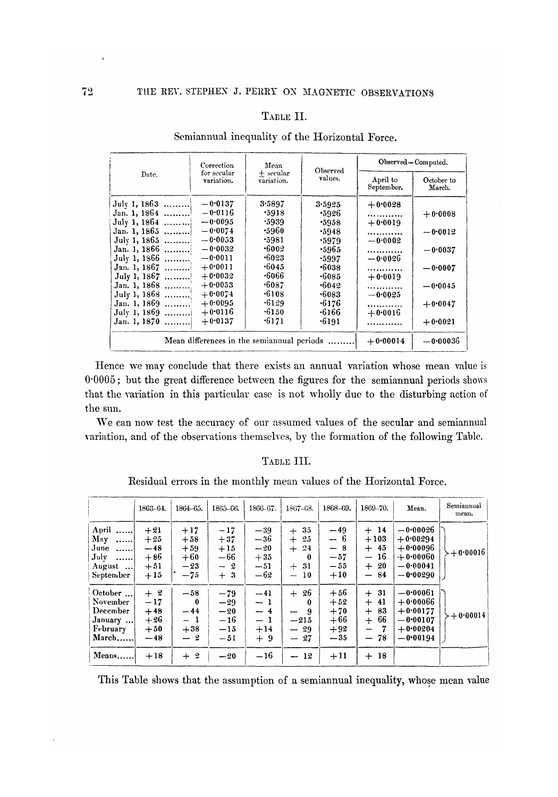### TABLE II.

|                | Correction                                | Mean                      | Observed     | Observed-Computed.     |                      |  |  |  |
|----------------|-------------------------------------------|---------------------------|--------------|------------------------|----------------------|--|--|--|
| Date.          | for secular<br>variation.                 | $+$ secular<br>variation. | values.      | April to<br>September. | October to<br>March. |  |  |  |
| July 1, 1863   | $-0.0137$                                 | 3.5897                    | 3.5925       | $+0.0028$              |                      |  |  |  |
| Jan. 1, 1864   | $-0.0116$                                 | .5918                     | .5926        | .                      | $+0.0008$            |  |  |  |
| July 1, 1864   | $-0.0095$                                 | .5939                     | .5958        | $+0.0019$              |                      |  |  |  |
| Jan. 1, 1865   | $-0.0074$                                 | ∙5960                     | .5948        |                        | $-0.0012$            |  |  |  |
| July 1, 1865   | $-0.0053$                                 | .5981                     | .5979        | $-0.0002$              |                      |  |  |  |
| Jan. 1, 1866 ! | $-0.0032$                                 | .6002                     | -5965        | .                      | $-0.0037$            |  |  |  |
| July 1, 1866   | $-0.0011$                                 | $-6023$                   | .5997        | $-0.0026$              |                      |  |  |  |
| Jan. 1, 1867   | $+0.0011$                                 | .6045                     | -6038        |                        | $-0.0007$            |  |  |  |
| July 1, 1867   | $+0.0032$                                 | $\cdot 6066$              | -6085        | $+0.0019$              |                      |  |  |  |
| Jan. 1, 1868   | $+0.0053$                                 | $\cdot 6087$              | -6042        |                        | $-0.0045$            |  |  |  |
| July 1, 1868   | $+0.0074$                                 | $-6108$                   | $\cdot 6083$ | $-0.0025$              |                      |  |  |  |
| Jan. 1, 1869   | $+0.0095$                                 | .6129                     | $\cdot 6176$ |                        | $+0.0047$            |  |  |  |
| July 1, 1869   | $+0.0116$                                 | $-6150$                   | .6166        | $+0.0016$              |                      |  |  |  |
| Jan. 1, 1870   | $+0.0137$                                 | .6171                     | .6191        |                        | $+0.0021$            |  |  |  |
|                | Mean differences in the semianual periods |                           |              |                        |                      |  |  |  |

### Semiannual inequality of the Horizontal Force.

Hence we may conclude that there exists an annual variation whose mean value is 0.0005; but the great difference between the figures for the semiannual periods shows that the variation in this particular case is not wholly due to the disturbing action of the sun.

We can now test the accuracy of our assumed values of the secular and semiannual variation, and of the observations themselves, by the formation of the following Table.

#### TABLE III.

Residual errors in the monthly mean values of the Horizontal Force.

|                                                                          | 1863-64.                                           | 1864-65.                                            | 1865-66.                                           | 1866-67.                                           | 1867-68.                                           | 1868-69.                                           | 1869-70.                                                                                   | Mean.                                                                            | Semiannual<br>mean. |
|--------------------------------------------------------------------------|----------------------------------------------------|-----------------------------------------------------|----------------------------------------------------|----------------------------------------------------|----------------------------------------------------|----------------------------------------------------|--------------------------------------------------------------------------------------------|----------------------------------------------------------------------------------|---------------------|
| April<br>May<br><br>June<br>.<br>July<br>$\cdots$<br>August<br>September | $+21$<br>$+25$<br>$-48$<br>$+86$<br>$+51$<br>$+15$ | $+17$<br>$+58$<br>$+59$<br>$+60$<br>$-23$<br>$-75$  | $-17$<br>$+37$<br>$+15$<br>$-66$<br>$-2$<br>$+3$   | $-39$<br>$-36$<br>$-20$<br>$+35$<br>$-51$<br>$-62$ | $+35$<br>$+25$<br>$+ 24$<br>0<br>$+31$<br>$-10$    | $-49$<br>$-6$<br>- 8<br>$-57$<br>$-55$<br>$+10$    | $+14$<br>$+103$<br>$+45$<br>$-16$<br>$+20$<br>$-84$                                        | $-0.00026$<br>$+0.00294$<br>$+0.00096$<br>$+0.00060$<br>$-0.00041$<br>$-0.00290$ | $-+0.00016$         |
| October<br>November<br>December<br>January<br>February<br>$March$        | $+2$<br>$-17$<br>$+48$<br>$+26$<br>$+50$<br>$-48$  | $-58$<br>$\bf{0}$<br>$-44$<br>$-1$<br>$+38$<br>$-2$ | $-79$<br>$-29$<br>$-20$<br>$-16$<br>$-15$<br>$-51$ | $-41$<br>$-1$<br>$-4$<br>$-1$<br>$+14$<br>$+9$     | $+26$<br>0<br>9<br>ىسە<br>$-215$<br>$-29$<br>$-27$ | $+56$<br>$+52$<br>$+70$<br>$+66$<br>$+92$<br>$-35$ | - 31<br>$^{+}$<br>41<br>$+$<br>83<br>$+$<br>66<br>$+$<br>$\overline{\phantom{m}}$<br>$-78$ | $-0.00061$<br>$+0.00066$<br>$+0.00177$<br>$-0.00107$<br>$+0.00204$<br>$-0.00194$ | $-+0.00014$         |
| Means                                                                    | $+18$                                              | 2<br>$+$                                            | $-20$                                              | $-16$                                              | 12<br>$\overline{\phantom{a}}$                     | $+11$                                              | -18<br>$+$                                                                                 |                                                                                  |                     |

This Table shows that the assumption of a semiannual inequality, whose mean value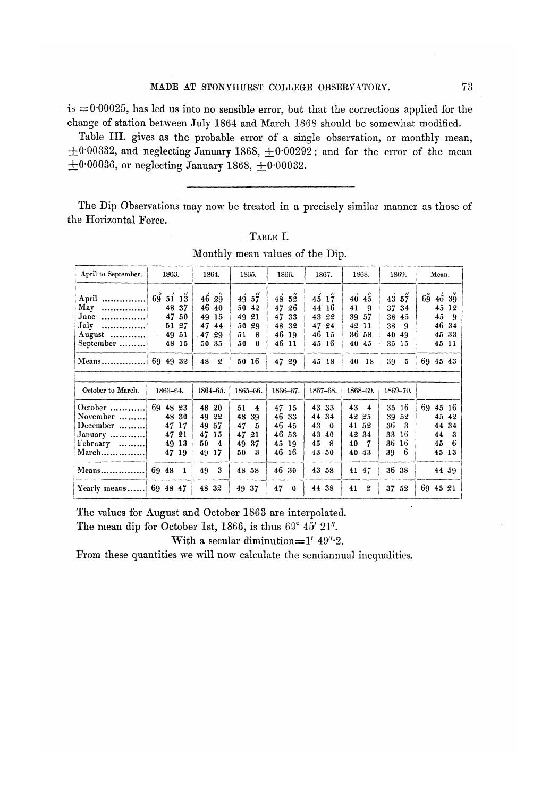is  $= 0.00025$ , has led us into no sensible error, but that the corrections applied for the change of station between July 1864 and March 1868 should be somewhat modified.

Table III. gives as the probable error of a single observation, or monthly mean,  $\pm$ 0.00332, and neglecting January 1868,  $\pm$ 0.00292; and for the error of the mean  $\pm$ 0.00036, or neglecting January 1868,  $\pm$ 0.00032.

The Dip Observations may now be treated in a precisely similar manner as those of the Horizontal Force.

Monthly mean values of the Dip.

| April to September.                                                                                        | 1863.                                                                                         | 1864.                                                               | 1865.                                                                        | 1866.                                                                                      | 1867.                                                                             | 1868.                                                           | 1869.                                                                | Mean.                                                                                              |  |  |
|------------------------------------------------------------------------------------------------------------|-----------------------------------------------------------------------------------------------|---------------------------------------------------------------------|------------------------------------------------------------------------------|--------------------------------------------------------------------------------------------|-----------------------------------------------------------------------------------|-----------------------------------------------------------------|----------------------------------------------------------------------|----------------------------------------------------------------------------------------------------|--|--|
| April<br>May<br><br>June<br>. 1<br>July<br>. 1<br>August $\dots\dots\dots\dots$<br>September               | $^{\prime\prime}$<br>69<br>51<br>13<br>37<br>48<br>47<br>50<br>51 27<br>$-49$<br>-51<br>48 15 | 4629<br>46<br>40<br>15<br>49<br>47<br>44<br>47<br>29<br>5035        | 49<br>57<br>50<br>42<br>49<br>21<br>50<br>29<br>51<br>8<br>50<br>$\mathbf 0$ | $^{\prime\prime}$<br>48<br>52<br>47<br>26<br>47<br>33<br>48<br>32<br>46<br>-19<br>46<br>11 | 45 <sub>1</sub><br>17<br>44<br>16<br>43<br>22<br>47<br>24<br>46<br>15<br>16<br>45 | 40<br>45<br>41<br>-9<br>39<br>57<br>42<br>-11<br>36 58<br>40 45 | 43<br>57<br>34<br>37<br>38<br>45<br>38<br>-9<br>40<br>49<br>35<br>15 | $6\overset{\circ}{9}$<br>$4\dot{6}$ $3\ddot{9}$<br>45<br>12<br>45<br>-9<br>46 34<br>45 33<br>45 11 |  |  |
| Means                                                                                                      | 69 49 32                                                                                      | 48<br>$\mathbf{2}$                                                  | 50 16                                                                        | 47 29                                                                                      | $45^{\circ}$<br>-18                                                               | 40 18                                                           | 5<br>39                                                              | 69 45 43                                                                                           |  |  |
|                                                                                                            |                                                                                               |                                                                     |                                                                              |                                                                                            |                                                                                   |                                                                 |                                                                      |                                                                                                    |  |  |
| October to March.                                                                                          | 1863-64.                                                                                      | 1864-65.                                                            | 1865-66.                                                                     | 1866-67.                                                                                   | 1867-68.                                                                          | 1868-69.                                                        | 1869-70.                                                             |                                                                                                    |  |  |
| October $\dots\dots\dots\dots$<br>November<br>December $\dots\dots\dots$<br>January<br>February<br>$March$ | 69 48 23<br>30<br>48<br>47<br>17<br>47<br>21<br>49<br>13<br>47<br>19                          | 48<br>20<br>49<br>22<br>49<br>57<br>47<br>15<br>50<br>4<br>49<br>17 | 51<br>4<br>48<br>39<br>47<br>5<br>47<br>21<br>49<br>37<br>50<br>3            | 47<br>15<br>46<br>33<br>46<br>45<br>46<br>53<br>45<br>19<br>46 16                          | 43<br>33<br>44<br>34<br>43<br>$\bf{0}$<br>43<br>40<br>45<br>8<br>43<br>50         | 43<br>4<br>42 25<br>41<br>52<br>42<br>34<br>40<br>7<br>40 43    | 35<br>16<br>39<br>52<br>36<br>3<br>16<br>33<br>36<br>16<br>6<br>39   | 69 45 16<br>45 42<br>44<br>34<br>44<br>3<br>45<br>-6<br>45 13                                      |  |  |
| Means                                                                                                      | 69 48<br>$\mathbf{1}$                                                                         | 3<br>49                                                             | 48 58                                                                        | 46 30                                                                                      | 43 58                                                                             | 4147                                                            | 36 38                                                                | 44 59                                                                                              |  |  |
| Yearly means                                                                                               | 69 48 47                                                                                      | 48 32                                                               | 49<br>37                                                                     | 47<br>$\bf{0}$                                                                             | 38<br>44                                                                          | $\mathfrak{D}$<br>41                                            | 37 52                                                                | 69 45 21                                                                                           |  |  |

The values for August and October 1863 are interpolated.

The mean dip for October 1st, 1866, is thus  $69^{\circ}$   $45'$   $21''.$ 

With a secular diminution= $1'$  49" $\cdot$ 2.

From these quantities we will now calculate the semiannual inequalities.

 $\ddot{\phantom{0}}$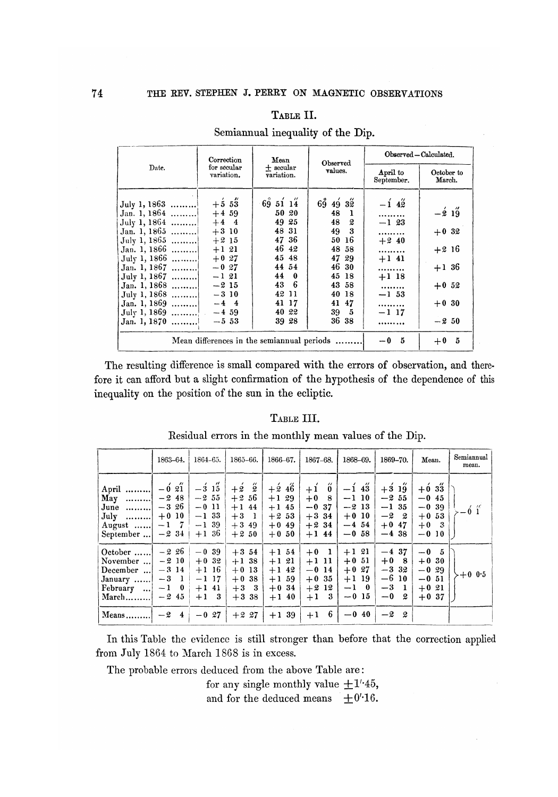#### TABLE II.

|                                                                                                                                                                                                                              | Correction                                                                                                                                         | Mean                                                                                                                      | Observed                                                                                                                                  | Observed - Calculated.                                                                                   |                                                                           |  |
|------------------------------------------------------------------------------------------------------------------------------------------------------------------------------------------------------------------------------|----------------------------------------------------------------------------------------------------------------------------------------------------|---------------------------------------------------------------------------------------------------------------------------|-------------------------------------------------------------------------------------------------------------------------------------------|----------------------------------------------------------------------------------------------------------|---------------------------------------------------------------------------|--|
| Date.                                                                                                                                                                                                                        | for secular<br>variation.                                                                                                                          | $+$ secular<br>variation.                                                                                                 | values.                                                                                                                                   | April to<br>September.                                                                                   | October to<br>March.                                                      |  |
| July 1, 1863<br>Jan. 1, 1864<br>July 1, 1864<br>Jan. 1, 1865<br>July 1, 1865<br>Jan. 1, 1866<br>July 1, 1866<br>Jan. 1, 1867<br>July 1, 1867<br>Jan. 1, 1868<br>July 1, 1868<br>Jan. 1, 1869<br>July 1, 1869<br>Jan. 1, 1870 | $+5.53$<br>$+4,59$<br>$+4$ 4<br>$+310$<br>$+2,15$<br>$+1$ 21<br>$+0.27$<br>$-0.27$<br>$-121$<br>$-215$<br>$-310$<br>$-4$ 4<br>$-4, 59$<br>$-5, 53$ | 693114<br>50 20<br>49 25<br>48 31<br>47 36<br>46 42<br>45 48<br>44 54<br>44 0<br>43 6<br>42 11<br>41 17<br>40 22<br>39 28 | $69\,49\,32$<br>48<br>- 1<br>48<br>2<br>49 3<br>-16<br>50<br>48 58<br>47 29<br>46 30<br>45 18<br>43 58<br>40 18<br>41 47<br>39 5<br>36 38 | $-1\,4\,$<br><br>$-1$ 23<br>.<br>$+240$<br><br>$+1$ 41<br><br>$+1$ 18<br><br>$-1, 53$<br><br>$-1$ 17<br> | $-219$<br>$+0.32$<br>$+2,16$<br>$+1,36$<br>$+0.52$<br>$+0.30$<br>$-2, 50$ |  |
|                                                                                                                                                                                                                              |                                                                                                                                                    |                                                                                                                           | Mean differences in the semiannual periods                                                                                                | $-05$                                                                                                    | $+0$ 5                                                                    |  |

## Semiannual inequality of the Dip.

The resulting difference is small compared with the errors of observation, and therefore it can afford but a slight confirmation of the hypothesis of the dependence of this inequality on the position of the sun in the ecliptic.

#### TABLE III.

Residual errors in the monthly mean values of the Dip.

|                                                                                | 1863-64.                                                                                    | $1864 - 65.$                                                                                           | 1865–66.                                                                   | $1866 - 67$ .                                                    | $1867 - 68.$                                                                      | 1868-69.                                                           | 1869-70.                                                                             | Mean.                                                        | Semiannual<br>mean.  |
|--------------------------------------------------------------------------------|---------------------------------------------------------------------------------------------|--------------------------------------------------------------------------------------------------------|----------------------------------------------------------------------------|------------------------------------------------------------------|-----------------------------------------------------------------------------------|--------------------------------------------------------------------|--------------------------------------------------------------------------------------|--------------------------------------------------------------|----------------------|
| April<br>May<br>. 1<br>June $\dots\dots\dots$<br>$July$<br>August<br>September | $\overline{\phantom{a}}$<br>$-0.21$<br>$-248$<br>$-3, 26$<br>$+0.10$<br>$-1 \t 7$<br>$-234$ | $\overline{\phantom{a}}$<br>$-3$ 15<br>$-2\hspace{0.1cm} 55$<br>$-011$<br>$-133$<br>$-1$ 39<br>$+1,36$ | $+2\frac{3}{2}$<br>$+2.56$<br>$+1$ 44<br>$+3$<br>- 1<br>$+3,49$<br>$+2.50$ | $+2.46$<br>$+129$<br>$+1$ 45<br>$+2.53$<br>$+0.49$<br>$+0.50$    | $\ddot{\mathbf{0}}$<br>$+1$<br>$+0$ 8<br>$-0.37$<br>$+3,34$<br>$+2.34$<br>$+1$ 44 | $-1\,43$<br>$-1$ 10<br>$-213$<br>$+0.10$<br>$-4, 54$<br>$-0,58$    | $+3.19$<br>$-255$<br>$-1, 35$<br>$-2^{-}$<br>- 2<br>$+0$<br>47<br>$-4, 38$           | $+633$<br>$-0.45$<br>$-0.39$<br>$+0.53$<br>$+0$ 3<br>$-0.10$ | $-6i^{\prime\prime}$ |
| October<br>November<br>December<br>January<br>February<br>$March \dots \dots$  | $-226$<br>$-210$<br>$-314$<br>$-3$<br>$\mathbf{1}$<br>$\bf{0}$<br>$-1$<br>$-245$            | $-0.39$<br>$+0.32$<br>$+1$ 16<br>$-1$ 17<br>$+1$ 41<br>$+1$ 3                                          | $+3,54$<br>$+1$ 38<br>$+0.13$<br>38<br>$+0$<br>$+3$ 3<br>$+3.38$           | $+1, 54$<br>$+1$ 21<br>$+1$ 42<br>$+1, 59$<br>$+0.34$<br>$+1$ 40 | $+0$<br>$\mathbf{1}$<br>$+111$<br>$-0$ 14<br>$+0.35$<br>$+212$<br>- 3<br>$+1$     | $+1$ 21<br>$+0.51$<br>$+0.27$<br>$+1$ 19<br>$-1\quad 0$<br>$-0.15$ | $-4, 37$<br>$+0$<br>- 8<br>$-332$<br>$-610$<br>$-3$<br>$\blacksquare$<br>$-0$<br>- 2 | $-05$<br>$+0.30$<br>$-0.29$<br>$-0.51$<br>$+0.21$<br>$+0.37$ | $-+0$ 0.5            |
| Means                                                                          | $-24$                                                                                       | $-0,27$                                                                                                | $+2,27$                                                                    | $+1$ 39                                                          | 6<br>$+1$                                                                         | $-0.40$                                                            | $-2$<br>2                                                                            |                                                              |                      |

In this Table the evidence is still stronger than before that the correction applied from July 1864 to March 1868 is in excess.

The probable errors deduced from the above Table are:

for any single monthly value  $\pm 1$ '45,

and for the deduced means  $\pm 0'$  16.